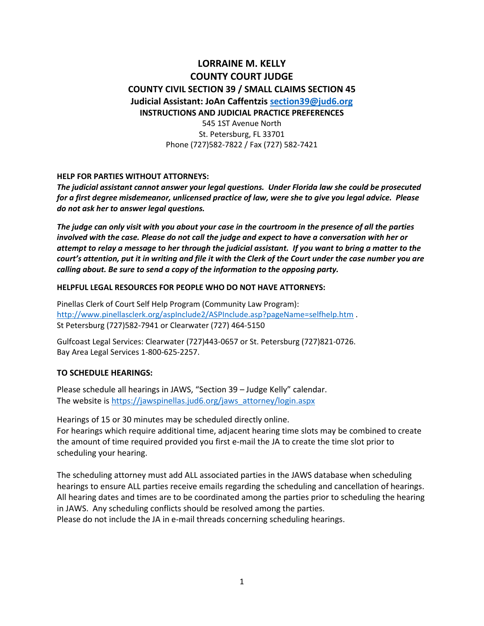# **LORRAINE M. KELLY COUNTY COURT JUDGE COUNTY CIVIL SECTION 39 / SMALL CLAIMS SECTION 45 Judicial Assistant: JoAn Caffentzis [section39@jud6.org](mailto:section39@jud6.org)  INSTRUCTIONS AND JUDICIAL PRACTICE PREFERENCES**

545 1ST Avenue North St. Petersburg, FL 33701 Phone (727)582-7822 / Fax (727) 582-7421

#### **HELP FOR PARTIES WITHOUT ATTORNEYS:**

*The judicial assistant cannot answer your legal questions. Under Florida law she could be prosecuted for a first degree misdemeanor, unlicensed practice of law, were she to give you legal advice. Please do not ask her to answer legal questions.*

*The judge can only visit with you about your case in the courtroom in the presence of all the parties involved with the case. Please do not call the judge and expect to have a conversation with her or attempt to relay a message to her through the judicial assistant. If you want to bring a matter to the court's attention, put it in writing and file it with the Clerk of the Court under the case number you are calling about. Be sure to send a copy of the information to the opposing party.*

#### **HELPFUL LEGAL RESOURCES FOR PEOPLE WHO DO NOT HAVE ATTORNEYS:**

Pinellas Clerk of Court Self Help Program (Community Law Program): <http://www.pinellasclerk.org/aspInclude2/ASPInclude.asp?pageName=selfhelp.htm>. St Petersburg (727)582-7941 or Clearwater (727) 464-5150

Gulfcoast Legal Services: Clearwater (727)443-0657 or St. Petersburg (727)821-0726. Bay Area Legal Services 1-800-625-2257.

#### **TO SCHEDULE HEARINGS:**

Please schedule all hearings in JAWS, "Section 39 – Judge Kelly" calendar. The website is https://jawspinellas.jud6.org/jaws\_attorney/login.aspx

Hearings of 15 or 30 minutes may be scheduled directly online. For hearings which require additional time, adjacent hearing time slots may be combined to create the amount of time required provided you first e-mail the JA to create the time slot prior to scheduling your hearing.

The scheduling attorney must add ALL associated parties in the JAWS database when scheduling hearings to ensure ALL parties receive emails regarding the scheduling and cancellation of hearings. All hearing dates and times are to be coordinated among the parties prior to scheduling the hearing in JAWS. Any scheduling conflicts should be resolved among the parties. Please do not include the JA in e-mail threads concerning scheduling hearings.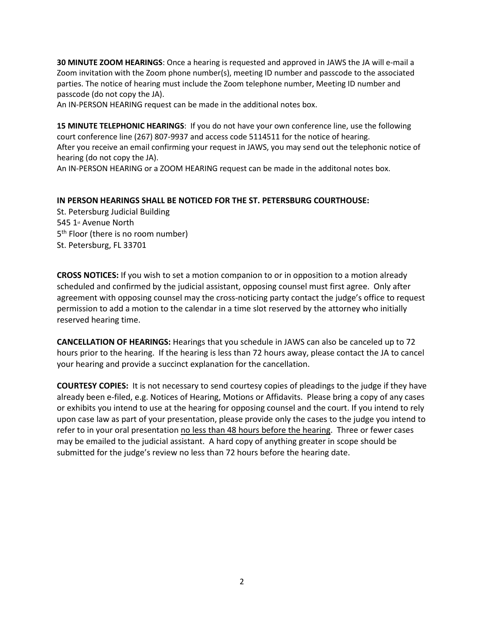**30 MINUTE ZOOM HEARINGS**: Once a hearing is requested and approved in JAWS the JA will e-mail a Zoom invitation with the Zoom phone number(s), meeting ID number and passcode to the associated parties. The notice of hearing must include the Zoom telephone number, Meeting ID number and passcode (do not copy the JA).

An IN-PERSON HEARING request can be made in the additional notes box.

**15 MINUTE TELEPHONIC HEARINGS**: If you do not have your own conference line, use the following court conference line (267) 807-9937 and access code 5114511 for the notice of hearing. After you receive an email confirming your request in JAWS, you may send out the telephonic notice of hearing (do not copy the JA). An IN-PERSON HEARING or a ZOOM HEARING request can be made in the additonal notes box.

### **IN PERSON HEARINGS SHALL BE NOTICED FOR THE ST. PETERSBURG COURTHOUSE:**

St. Petersburg Judicial Building 545 1st Avenue North 5<sup>th</sup> Floor (there is no room number) St. Petersburg, FL 33701

**CROSS NOTICES:** If you wish to set a motion companion to or in opposition to a motion already scheduled and confirmed by the judicial assistant, opposing counsel must first agree. Only after agreement with opposing counsel may the cross-noticing party contact the judge's office to request permission to add a motion to the calendar in a time slot reserved by the attorney who initially reserved hearing time.

**CANCELLATION OF HEARINGS:** Hearings that you schedule in JAWS can also be canceled up to 72 hours prior to the hearing. If the hearing is less than 72 hours away, please contact the JA to cancel your hearing and provide a succinct explanation for the cancellation.

**COURTESY COPIES:** It is not necessary to send courtesy copies of pleadings to the judge if they have already been e-filed, e.g. Notices of Hearing, Motions or Affidavits. Please bring a copy of any cases or exhibits you intend to use at the hearing for opposing counsel and the court. If you intend to rely upon case law as part of your presentation, please provide only the cases to the judge you intend to refer to in your oral presentation no less than 48 hours before the hearing. Three or fewer cases may be emailed to the judicial assistant. A hard copy of anything greater in scope should be submitted for the judge's review no less than 72 hours before the hearing date.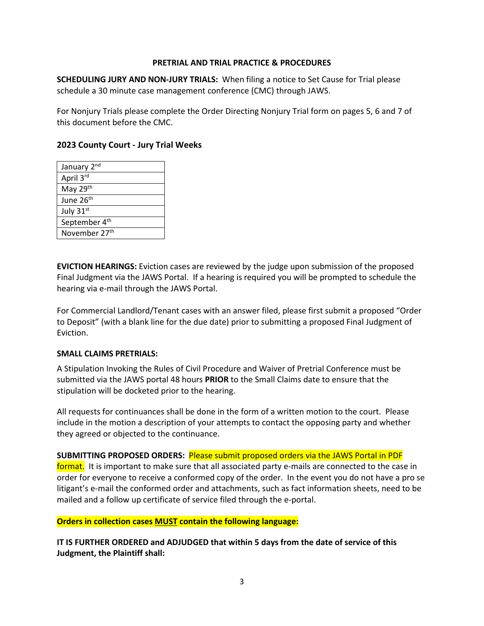#### **PRETRIAL AND TRIAL PRACTICE & PROCEDURES**

**SCHEDULING JURY AND NON-JURY TRIALS:** When filing a notice to Set Cause for Trial please schedule a 30 minute case management conference (CMC) through JAWS.

For Nonjury Trials please complete the Order Directing Nonjury Trial form on pages 5, 6 and 7 of this document before the CMC.

## **2023 County Court - Jury Trial Weeks**

| January 2 <sup>nd</sup>   |
|---------------------------|
| April 3rd                 |
| May 29th                  |
| June 26th                 |
| July 31st                 |
| September 4 <sup>th</sup> |
| November 27 <sup>th</sup> |

**EVICTION HEARINGS:** Eviction cases are reviewed by the judge upon submission of the proposed Final Judgment via the JAWS Portal. If a hearing is required you will be prompted to schedule the hearing via e-mail through the JAWS Portal.

For Commercial Landlord/Tenant cases with an answer filed, please first submit a proposed "Order to Deposit" (with a blank line for the due date) prior to submitting a proposed Final Judgment of Eviction.

#### **SMALL CLAIMS PRETRIALS:**

A Stipulation Invoking the Rules of Civil Procedure and Waiver of Pretrial Conference must be submitted via the JAWS portal 48 hours **PRIOR** to the Small Claims date to ensure that the stipulation will be docketed prior to the hearing.

All requests for continuances shall be done in the form of a written motion to the court. Please include in the motion a description of your attempts to contact the opposing party and whether they agreed or objected to the continuance.

**SUBMITTING PROPOSED ORDERS:** Please submit proposed orders via the JAWS Portal in PDF format. It is important to make sure that all associated party e-mails are connected to the case in order for everyone to receive a conformed copy of the order. In the event you do not have a pro se litigant's e-mail the conformed order and attachments, such as fact information sheets, need to be mailed and a follow up certificate of service filed through the e-portal.

### **Orders in collection cases MUST contain the following language:**

**IT IS FURTHER ORDERED and ADJUDGED that within 5 days from the date of service of this Judgment, the Plaintiff shall:**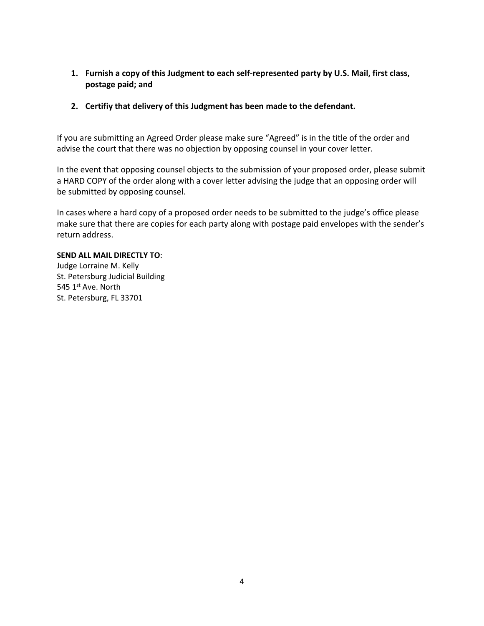- **1. Furnish a copy of this Judgment to each self-represented party by U.S. Mail, first class, postage paid; and**
- **2. Certifiy that delivery of this Judgment has been made to the defendant.**

If you are submitting an Agreed Order please make sure "Agreed" is in the title of the order and advise the court that there was no objection by opposing counsel in your cover letter.

In the event that opposing counsel objects to the submission of your proposed order, please submit a HARD COPY of the order along with a cover letter advising the judge that an opposing order will be submitted by opposing counsel.

In cases where a hard copy of a proposed order needs to be submitted to the judge's office please make sure that there are copies for each party along with postage paid envelopes with the sender's return address.

#### **SEND ALL MAIL DIRECTLY TO**:

Judge Lorraine M. Kelly St. Petersburg Judicial Building 545 1st Ave. North St. Petersburg, FL 33701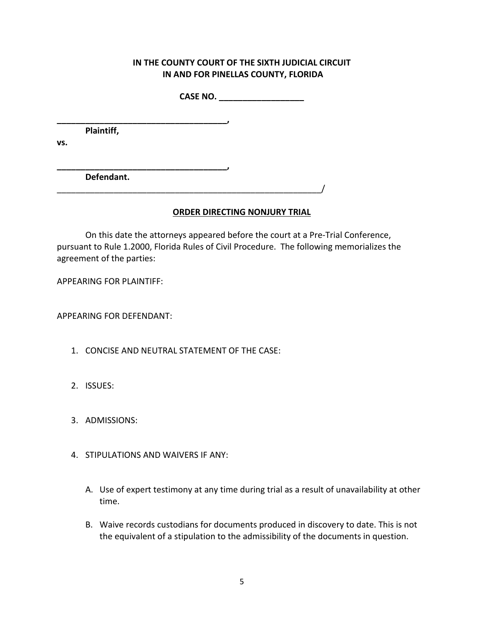# **IN THE COUNTY COURT OF THE SIXTH JUDICIAL CIRCUIT IN AND FOR PINELLAS COUNTY, FLORIDA**

**CASE NO. \_\_\_\_\_\_\_\_\_\_\_\_\_\_\_\_\_\_**

**Plaintiff,**

**\_\_\_\_\_\_\_\_\_\_\_\_\_\_\_\_\_\_\_\_\_\_\_\_\_\_\_\_\_\_\_\_\_\_\_\_,**

**vs.**

**\_\_\_\_\_\_\_\_\_\_\_\_\_\_\_\_\_\_\_\_\_\_\_\_\_\_\_\_\_\_\_\_\_\_\_\_, Defendant.**

# **ORDER DIRECTING NONJURY TRIAL**

On this date the attorneys appeared before the court at a Pre-Trial Conference, pursuant to Rule 1.2000, Florida Rules of Civil Procedure. The following memorializes the agreement of the parties:

APPEARING FOR PLAINTIFF:

APPEARING FOR DEFENDANT:

1. CONCISE AND NEUTRAL STATEMENT OF THE CASE:

\_\_\_\_\_\_\_\_\_\_\_\_\_\_\_\_\_\_\_\_\_\_\_\_\_\_\_\_\_\_\_\_\_\_\_\_\_\_\_\_\_\_\_\_\_\_\_\_\_\_\_\_\_\_\_\_/

- 2. ISSUES:
- 3. ADMISSIONS:
- 4. STIPULATIONS AND WAIVERS IF ANY:
	- A. Use of expert testimony at any time during trial as a result of unavailability at other time.
	- B. Waive records custodians for documents produced in discovery to date. This is not the equivalent of a stipulation to the admissibility of the documents in question.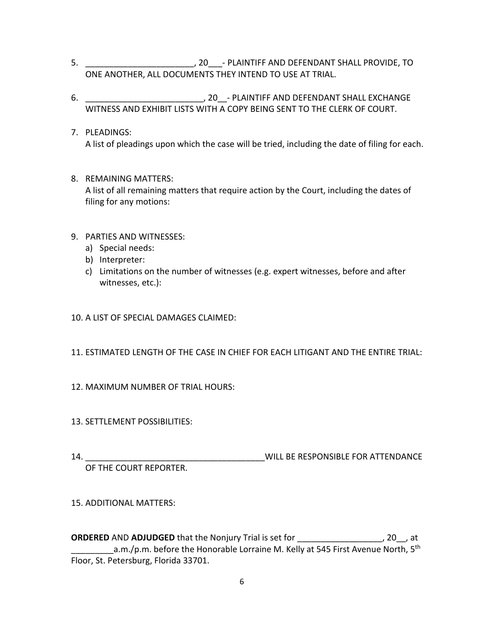- 5. \_\_\_\_\_\_\_\_\_\_\_\_\_\_\_\_\_\_\_\_\_\_\_, 20\_\_\_- PLAINTIFF AND DEFENDANT SHALL PROVIDE, TO ONE ANOTHER, ALL DOCUMENTS THEY INTEND TO USE AT TRIAL.
- 6.  $\sim$  20 PLAINTIFF AND DEFENDANT SHALL EXCHANGE WITNESS AND EXHIBIT LISTS WITH A COPY BEING SENT TO THE CLERK OF COURT.
- 7. PLEADINGS: A list of pleadings upon which the case will be tried, including the date of filing for each.
- 8. REMAINING MATTERS: A list of all remaining matters that require action by the Court, including the dates of filing for any motions:
- 9. PARTIES AND WITNESSES:
	- a) Special needs:
	- b) Interpreter:
	- c) Limitations on the number of witnesses (e.g. expert witnesses, before and after witnesses, etc.):
- 10. A LIST OF SPECIAL DAMAGES CLAIMED:
- 11. ESTIMATED LENGTH OF THE CASE IN CHIEF FOR EACH LITIGANT AND THE ENTIRE TRIAL:
- 12. MAXIMUM NUMBER OF TRIAL HOURS:
- 13. SETTLEMENT POSSIBILITIES:
- 

14. **WILL BE RESPONSIBLE FOR ATTENDANCE** 

OF THE COURT REPORTER.

### 15. ADDITIONAL MATTERS:

**ORDERED** AND **ADJUDGED** that the Nonjury Trial is set for \_\_\_\_\_\_\_\_\_\_\_\_\_\_\_\_\_\_, 20\_\_, at  $\_\_\_\_\_\_a.m./$ p.m. before the Honorable Lorraine M. Kelly at 545 First Avenue North, 5<sup>th</sup> Floor, St. Petersburg, Florida 33701.